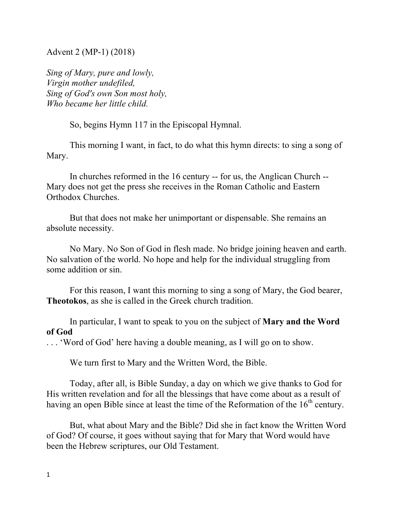Advent 2 (MP-1) (2018)

*Sing of Mary, pure and lowly, Virgin mother undefiled, Sing of God's own Son most holy, Who became her little child.*

So, begins Hymn 117 in the Episcopal Hymnal.

This morning I want, in fact, to do what this hymn directs: to sing a song of Mary.

In churches reformed in the 16 century -- for us, the Anglican Church -- Mary does not get the press she receives in the Roman Catholic and Eastern Orthodox Churches.

But that does not make her unimportant or dispensable. She remains an absolute necessity.

No Mary. No Son of God in flesh made. No bridge joining heaven and earth. No salvation of the world. No hope and help for the individual struggling from some addition or sin.

For this reason, I want this morning to sing a song of Mary, the God bearer, **Theotokos**, as she is called in the Greek church tradition.

In particular, I want to speak to you on the subject of **Mary and the Word of God**

. . . 'Word of God' here having a double meaning, as I will go on to show.

We turn first to Mary and the Written Word, the Bible.

Today, after all, is Bible Sunday, a day on which we give thanks to God for His written revelation and for all the blessings that have come about as a result of having an open Bible since at least the time of the Reformation of the  $16<sup>th</sup>$  century.

But, what about Mary and the Bible? Did she in fact know the Written Word of God? Of course, it goes without saying that for Mary that Word would have been the Hebrew scriptures, our Old Testament.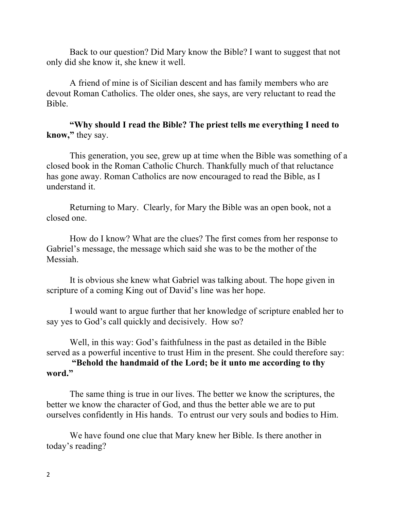Back to our question? Did Mary know the Bible? I want to suggest that not only did she know it, she knew it well.

A friend of mine is of Sicilian descent and has family members who are devout Roman Catholics. The older ones, she says, are very reluctant to read the Bible.

**"Why should I read the Bible? The priest tells me everything I need to know, "** they say.

This generation, you see, grew up at time when the Bible was something of a closed book in the Roman Catholic Church. Thankfully much of that reluctance has gone away. Roman Catholics are now encouraged to read the Bible, as I understand it.

Returning to Mary. Clearly, for Mary the Bible was an open book, not a closed one.

How do I know? What are the clues? The first comes from her response to Gabriel's message, the message which said she was to be the mother of the Messiah.

It is obvious she knew what Gabriel was talking about. The hope given in scripture of a coming King out of David's line was her hope.

I would want to argue further that her knowledge of scripture enabled her to say yes to God's call quickly and decisively. How so?

Well, in this way: God's faithfulness in the past as detailed in the Bible served as a powerful incentive to trust Him in the present. She could therefore say:

**"Behold the handmaid of the Lord; be it unto me according to thy word."**

The same thing is true in our lives. The better we know the scriptures, the better we know the character of God, and thus the better able we are to put ourselves confidently in His hands. To entrust our very souls and bodies to Him.

We have found one clue that Mary knew her Bible. Is there another in today's reading?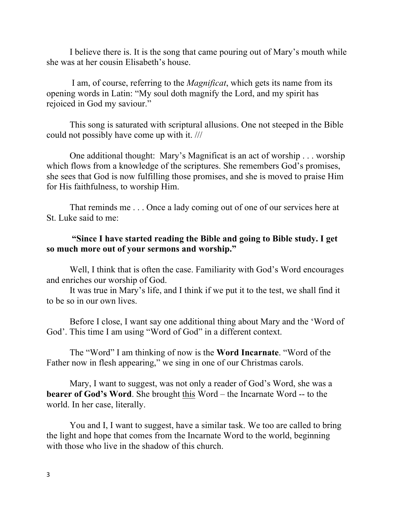I believe there is. It is the song that came pouring out of Mary's mouth while she was at her cousin Elisabeth's house.

I am, of course, referring to the *Magnificat*, which gets its name from its opening words in Latin: "My soul doth magnify the Lord, and my spirit has rejoiced in God my saviour."

This song is saturated with scriptural allusions. One not steeped in the Bible could not possibly have come up with it. ///

One additional thought: Mary's Magnificat is an act of worship . . . worship which flows from a knowledge of the scriptures. She remembers God's promises, she sees that God is now fulfilling those promises, and she is moved to praise Him for His faithfulness, to worship Him.

That reminds me . . . Once a lady coming out of one of our services here at St. Luke said to me:

## **"Since I have started reading the Bible and going to Bible study. I get so much more out of your sermons and worship."**

Well, I think that is often the case. Familiarity with God's Word encourages and enriches our worship of God.

It was true in Mary's life, and I think if we put it to the test, we shall find it to be so in our own lives.

Before I close, I want say one additional thing about Mary and the 'Word of God'. This time I am using "Word of God" in a different context.

The "Word" I am thinking of now is the **Word Incarnate**. "Word of the Father now in flesh appearing," we sing in one of our Christmas carols.

Mary, I want to suggest, was not only a reader of God's Word, she was a **bearer of God's Word**. She brought this Word – the Incarnate Word -- to the world. In her case, literally.

You and I, I want to suggest, have a similar task. We too are called to bring the light and hope that comes from the Incarnate Word to the world, beginning with those who live in the shadow of this church.